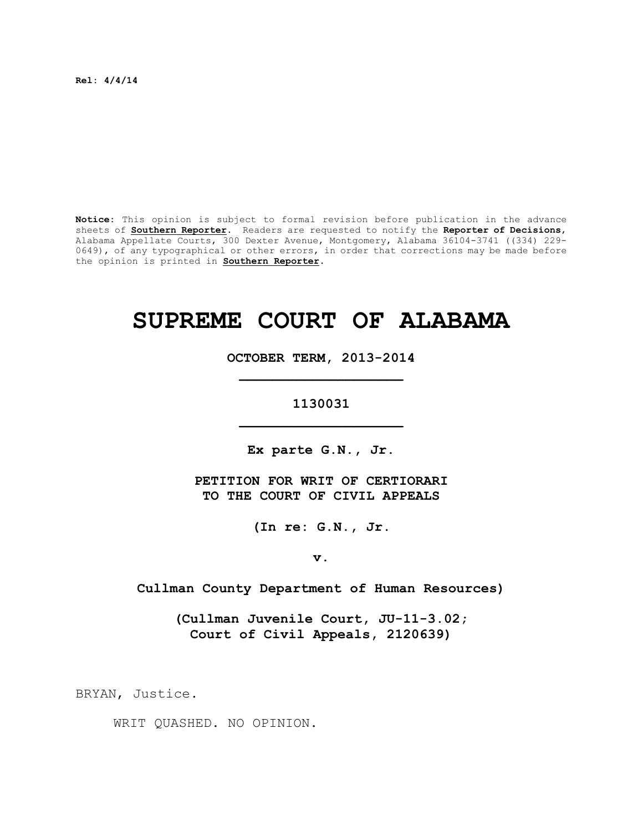**Rel: 4/4/14**

**Notice:** This opinion is subject to formal revision before publication in the advance sheets of **Southern Reporter**. Readers are requested to notify the **Reporter of Decisions**, Alabama Appellate Courts, 300 Dexter Avenue, Montgomery, Alabama 36104-3741 ((334) 229- 0649), of any typographical or other errors, in order that corrections may be made before the opinion is printed in **Southern Reporter**.

# **SUPREME COURT OF ALABAMA**

**OCTOBER TERM, 2013-2014 \_\_\_\_\_\_\_\_\_\_\_\_\_\_\_\_\_\_\_\_**

**1130031 \_\_\_\_\_\_\_\_\_\_\_\_\_\_\_\_\_\_\_\_**

**Ex parte G.N., Jr.**

**PETITION FOR WRIT OF CERTIORARI TO THE COURT OF CIVIL APPEALS**

**(In re: G.N., Jr.**

**v.**

**Cullman County Department of Human Resources)**

**(Cullman Juvenile Court, JU-11-3.02; Court of Civil Appeals, 2120639)**

BRYAN, Justice.

WRIT QUASHED. NO OPINION.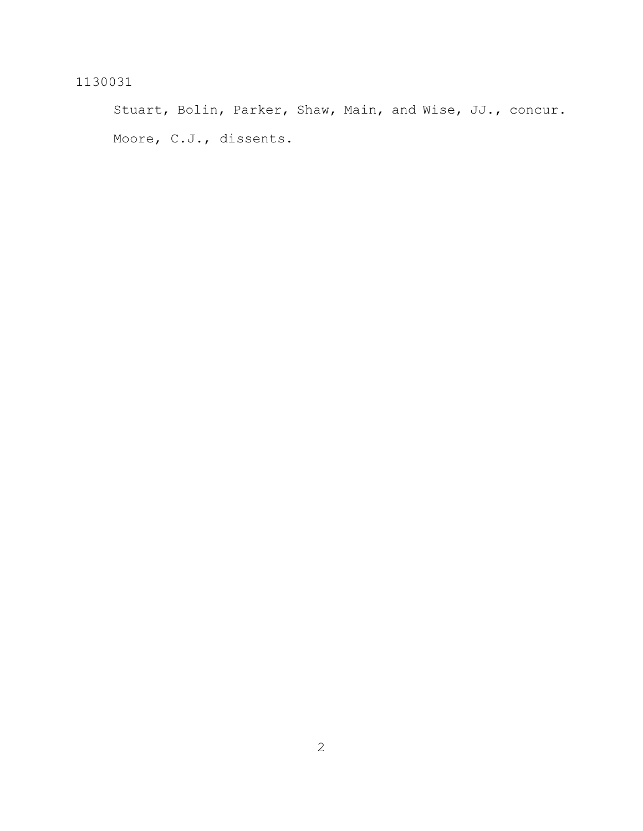Stuart, Bolin, Parker, Shaw, Main, and Wise, JJ., concur. Moore, C.J., dissents.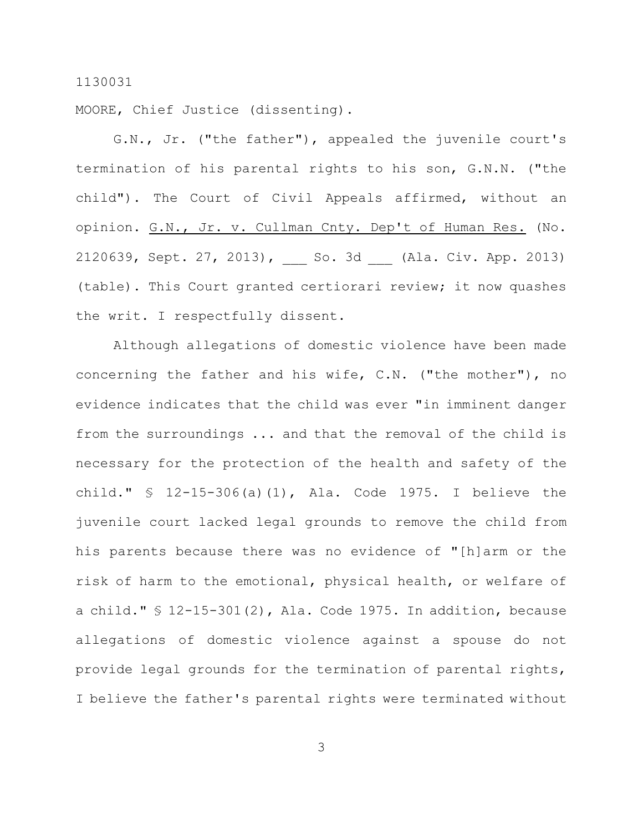MOORE, Chief Justice (dissenting).

G.N., Jr. ("the father"), appealed the juvenile court's termination of his parental rights to his son, G.N.N. ("the child"). The Court of Civil Appeals affirmed, without an opinion. G.N., Jr. v. Cullman Cnty. Dep't of Human Res. (No. 2120639, Sept. 27, 2013), \_\_\_ So. 3d \_\_\_ (Ala. Civ. App. 2013) (table). This Court granted certiorari review; it now quashes the writ. I respectfully dissent.

Although allegations of domestic violence have been made concerning the father and his wife, C.N. ("the mother"), no evidence indicates that the child was ever "in imminent danger from the surroundings ... and that the removal of the child is necessary for the protection of the health and safety of the child." § 12-15-306(a)(1), Ala. Code 1975. I believe the juvenile court lacked legal grounds to remove the child from his parents because there was no evidence of "[h]arm or the risk of harm to the emotional, physical health, or welfare of a child." § 12-15-301(2), Ala. Code 1975. In addition, because allegations of domestic violence against a spouse do not provide legal grounds for the termination of parental rights, I believe the father's parental rights were terminated without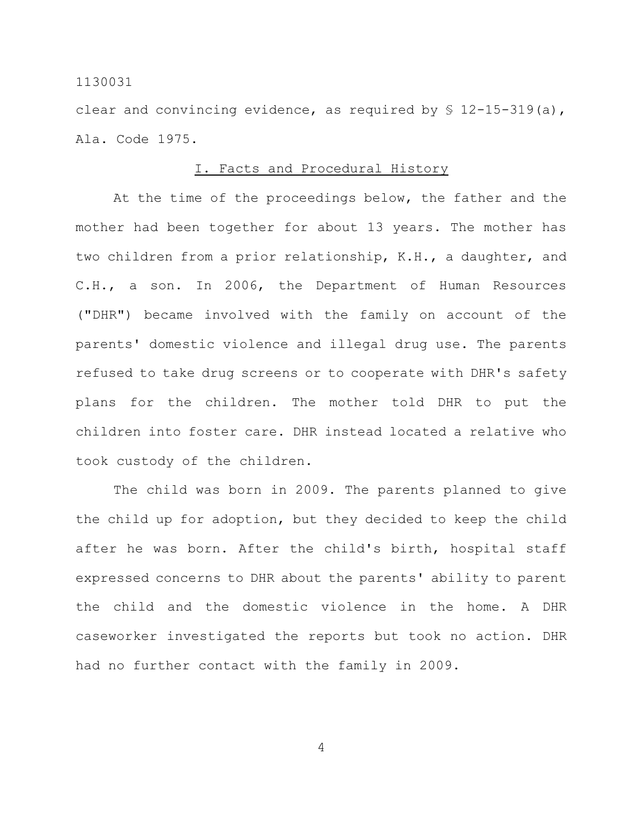clear and convincing evidence, as required by  $$ 12-15-319(a)$ , Ala. Code 1975.

#### I. Facts and Procedural History

At the time of the proceedings below, the father and the mother had been together for about 13 years. The mother has two children from a prior relationship, K.H., a daughter, and C.H., a son. In 2006, the Department of Human Resources ("DHR") became involved with the family on account of the parents' domestic violence and illegal drug use. The parents refused to take drug screens or to cooperate with DHR's safety plans for the children. The mother told DHR to put the children into foster care. DHR instead located a relative who took custody of the children.

The child was born in 2009. The parents planned to give the child up for adoption, but they decided to keep the child after he was born. After the child's birth, hospital staff expressed concerns to DHR about the parents' ability to parent the child and the domestic violence in the home. A DHR caseworker investigated the reports but took no action. DHR had no further contact with the family in 2009.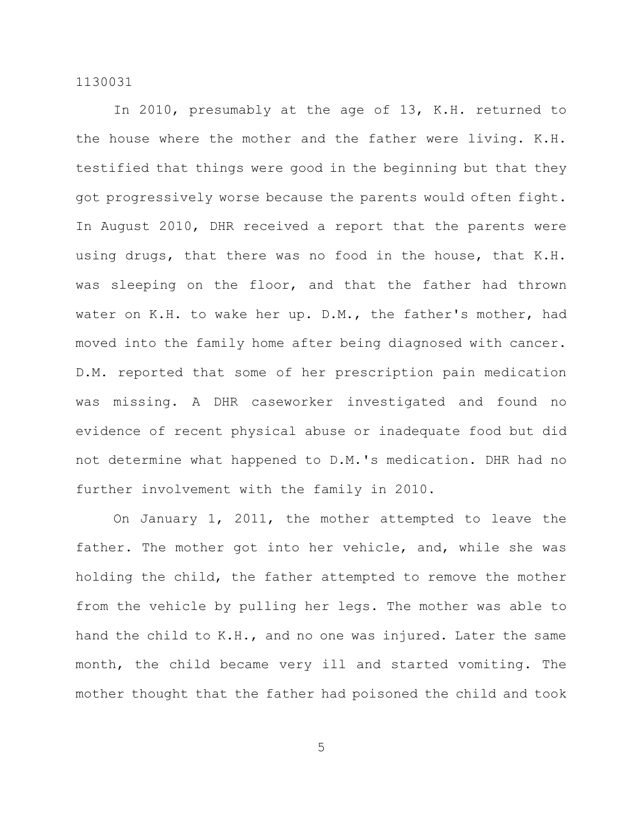In 2010, presumably at the age of 13, K.H. returned to the house where the mother and the father were living. K.H. testified that things were good in the beginning but that they got progressively worse because the parents would often fight. In August 2010, DHR received a report that the parents were using drugs, that there was no food in the house, that K.H. was sleeping on the floor, and that the father had thrown water on K.H. to wake her up. D.M., the father's mother, had moved into the family home after being diagnosed with cancer. D.M. reported that some of her prescription pain medication was missing. A DHR caseworker investigated and found no evidence of recent physical abuse or inadequate food but did not determine what happened to D.M.'s medication. DHR had no further involvement with the family in 2010.

On January 1, 2011, the mother attempted to leave the father. The mother got into her vehicle, and, while she was holding the child, the father attempted to remove the mother from the vehicle by pulling her legs. The mother was able to hand the child to K.H., and no one was injured. Later the same month, the child became very ill and started vomiting. The mother thought that the father had poisoned the child and took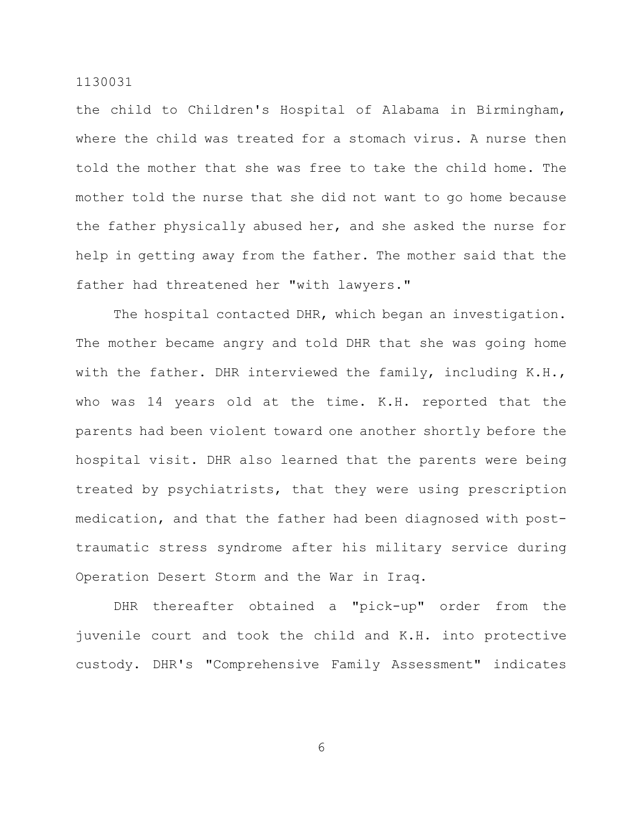the child to Children's Hospital of Alabama in Birmingham, where the child was treated for a stomach virus. A nurse then told the mother that she was free to take the child home. The mother told the nurse that she did not want to go home because the father physically abused her, and she asked the nurse for help in getting away from the father. The mother said that the father had threatened her "with lawyers."

The hospital contacted DHR, which began an investigation. The mother became angry and told DHR that she was going home with the father. DHR interviewed the family, including K.H., who was 14 years old at the time. K.H. reported that the parents had been violent toward one another shortly before the hospital visit. DHR also learned that the parents were being treated by psychiatrists, that they were using prescription medication, and that the father had been diagnosed with posttraumatic stress syndrome after his military service during Operation Desert Storm and the War in Iraq.

DHR thereafter obtained a "pick-up" order from the juvenile court and took the child and K.H. into protective custody. DHR's "Comprehensive Family Assessment" indicates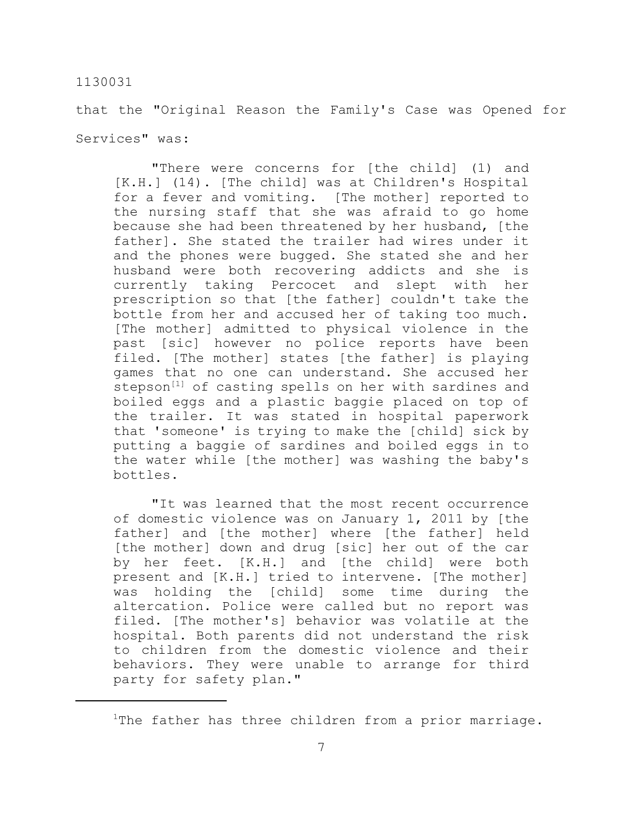that the "Original Reason the Family's Case was Opened for Services" was:

"There were concerns for [the child] (1) and [K.H.] (14). [The child] was at Children's Hospital for a fever and vomiting. [The mother] reported to the nursing staff that she was afraid to go home because she had been threatened by her husband, [the father]. She stated the trailer had wires under it and the phones were bugged. She stated she and her husband were both recovering addicts and she is currently taking Percocet and slept with her prescription so that [the father] couldn't take the bottle from her and accused her of taking too much. [The mother] admitted to physical violence in the past [sic] however no police reports have been filed. [The mother] states [the father] is playing games that no one can understand. She accused her stepson<sup>[1]</sup> of casting spells on her with sardines and boiled eggs and a plastic baggie placed on top of the trailer. It was stated in hospital paperwork that 'someone' is trying to make the [child] sick by putting a baggie of sardines and boiled eggs in to the water while [the mother] was washing the baby's bottles.

"It was learned that the most recent occurrence of domestic violence was on January 1, 2011 by [the father] and [the mother] where [the father] held [the mother] down and drug [sic] her out of the car by her feet. [K.H.] and [the child] were both present and [K.H.] tried to intervene. [The mother] was holding the [child] some time during the altercation. Police were called but no report was filed. [The mother's] behavior was volatile at the hospital. Both parents did not understand the risk to children from the domestic violence and their behaviors. They were unable to arrange for third party for safety plan."

<sup>&</sup>lt;sup>1</sup>The father has three children from a prior marriage.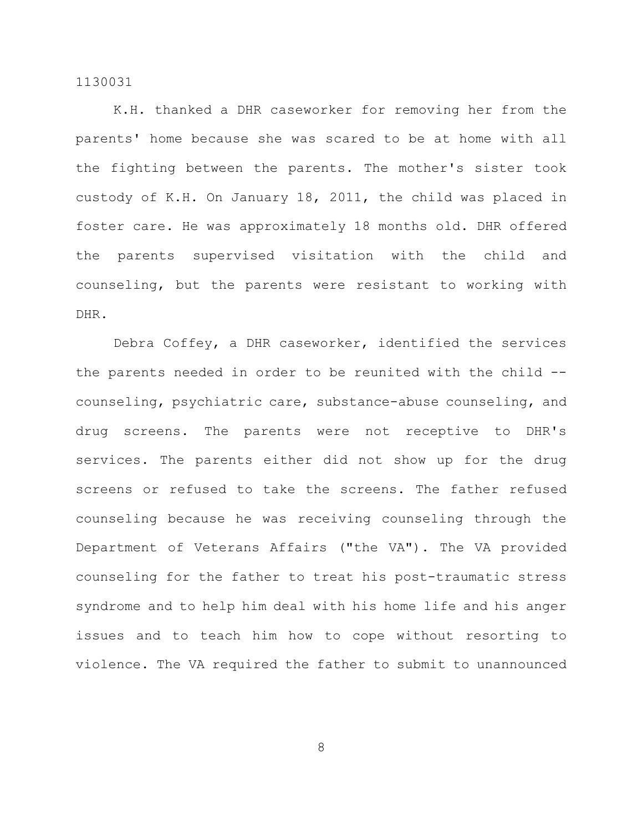K.H. thanked a DHR caseworker for removing her from the parents' home because she was scared to be at home with all the fighting between the parents. The mother's sister took custody of K.H. On January 18, 2011, the child was placed in foster care. He was approximately 18 months old. DHR offered the parents supervised visitation with the child and counseling, but the parents were resistant to working with DHR.

Debra Coffey, a DHR caseworker, identified the services the parents needed in order to be reunited with the child -counseling, psychiatric care, substance-abuse counseling, and drug screens. The parents were not receptive to DHR's services. The parents either did not show up for the drug screens or refused to take the screens. The father refused counseling because he was receiving counseling through the Department of Veterans Affairs ("the VA"). The VA provided counseling for the father to treat his post-traumatic stress syndrome and to help him deal with his home life and his anger issues and to teach him how to cope without resorting to violence. The VA required the father to submit to unannounced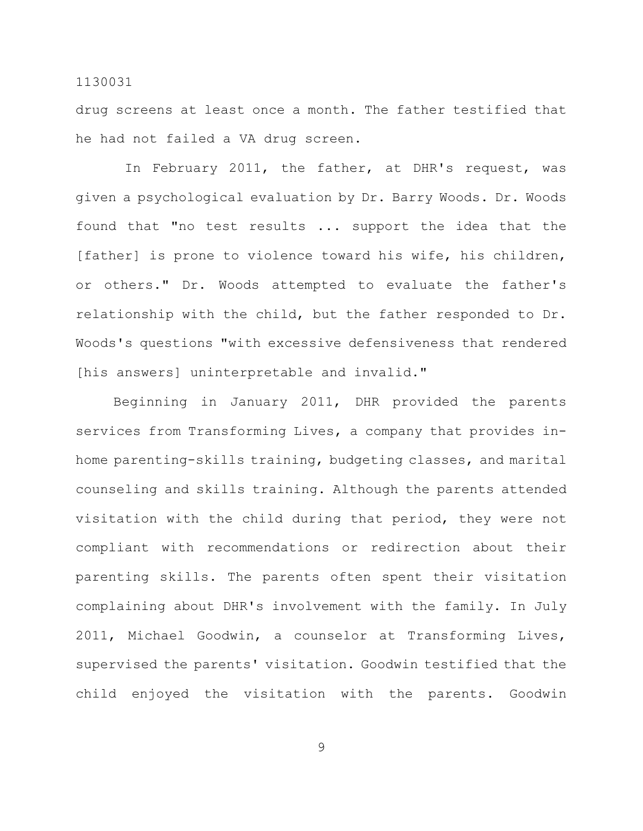drug screens at least once a month. The father testified that he had not failed a VA drug screen.

In February 2011, the father, at DHR's request, was given a psychological evaluation by Dr. Barry Woods. Dr. Woods found that "no test results ... support the idea that the [father] is prone to violence toward his wife, his children, or others." Dr. Woods attempted to evaluate the father's relationship with the child, but the father responded to Dr. Woods's questions "with excessive defensiveness that rendered [his answers] uninterpretable and invalid."

Beginning in January 2011, DHR provided the parents services from Transforming Lives, a company that provides inhome parenting-skills training, budgeting classes, and marital counseling and skills training. Although the parents attended visitation with the child during that period, they were not compliant with recommendations or redirection about their parenting skills. The parents often spent their visitation complaining about DHR's involvement with the family. In July 2011, Michael Goodwin, a counselor at Transforming Lives, supervised the parents' visitation. Goodwin testified that the child enjoyed the visitation with the parents. Goodwin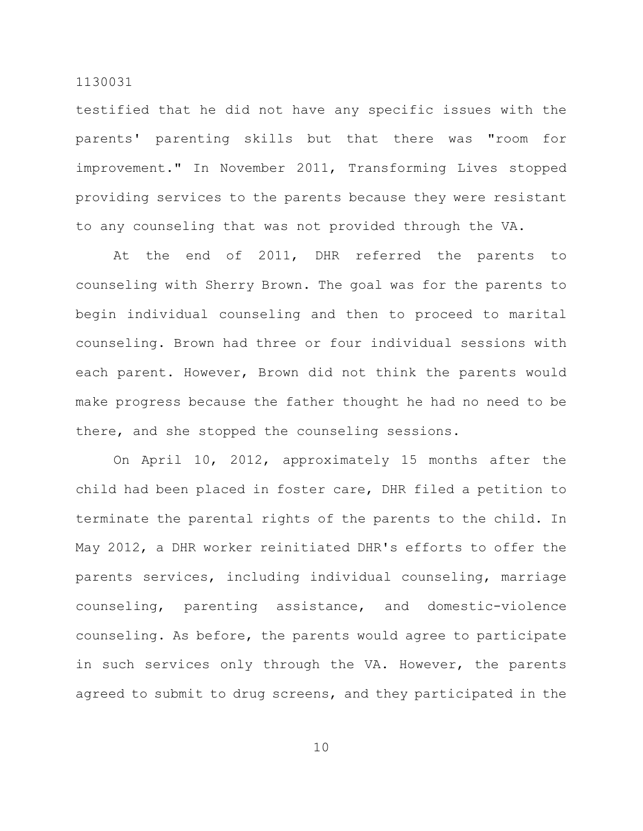testified that he did not have any specific issues with the parents' parenting skills but that there was "room for improvement." In November 2011, Transforming Lives stopped providing services to the parents because they were resistant to any counseling that was not provided through the VA.

At the end of 2011, DHR referred the parents to counseling with Sherry Brown. The goal was for the parents to begin individual counseling and then to proceed to marital counseling. Brown had three or four individual sessions with each parent. However, Brown did not think the parents would make progress because the father thought he had no need to be there, and she stopped the counseling sessions.

On April 10, 2012, approximately 15 months after the child had been placed in foster care, DHR filed a petition to terminate the parental rights of the parents to the child. In May 2012, a DHR worker reinitiated DHR's efforts to offer the parents services, including individual counseling, marriage counseling, parenting assistance, and domestic-violence counseling. As before, the parents would agree to participate in such services only through the VA. However, the parents agreed to submit to drug screens, and they participated in the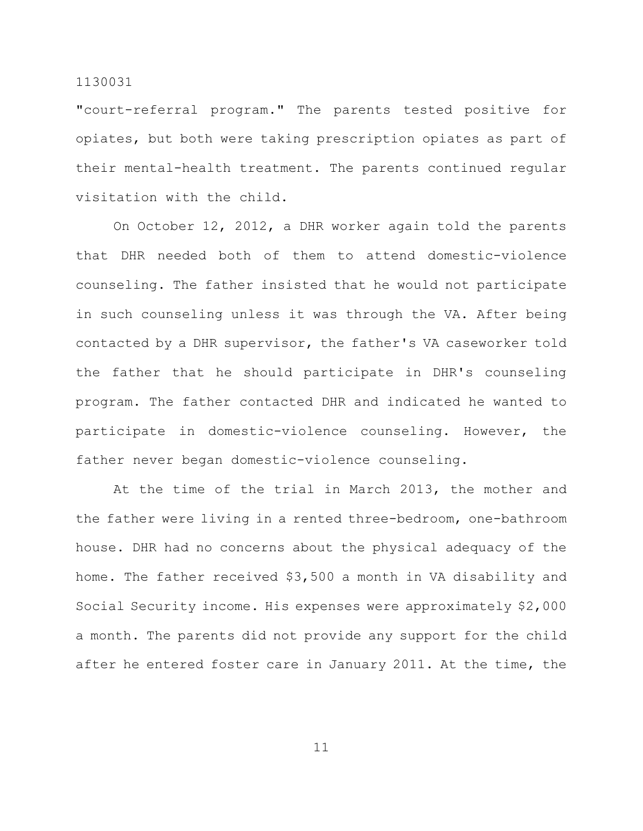"court-referral program." The parents tested positive for opiates, but both were taking prescription opiates as part of their mental-health treatment. The parents continued regular visitation with the child.

On October 12, 2012, a DHR worker again told the parents that DHR needed both of them to attend domestic-violence counseling. The father insisted that he would not participate in such counseling unless it was through the VA. After being contacted by a DHR supervisor, the father's VA caseworker told the father that he should participate in DHR's counseling program. The father contacted DHR and indicated he wanted to participate in domestic-violence counseling. However, the father never began domestic-violence counseling.

At the time of the trial in March 2013, the mother and the father were living in a rented three-bedroom, one-bathroom house. DHR had no concerns about the physical adequacy of the home. The father received \$3,500 a month in VA disability and Social Security income. His expenses were approximately \$2,000 a month. The parents did not provide any support for the child after he entered foster care in January 2011. At the time, the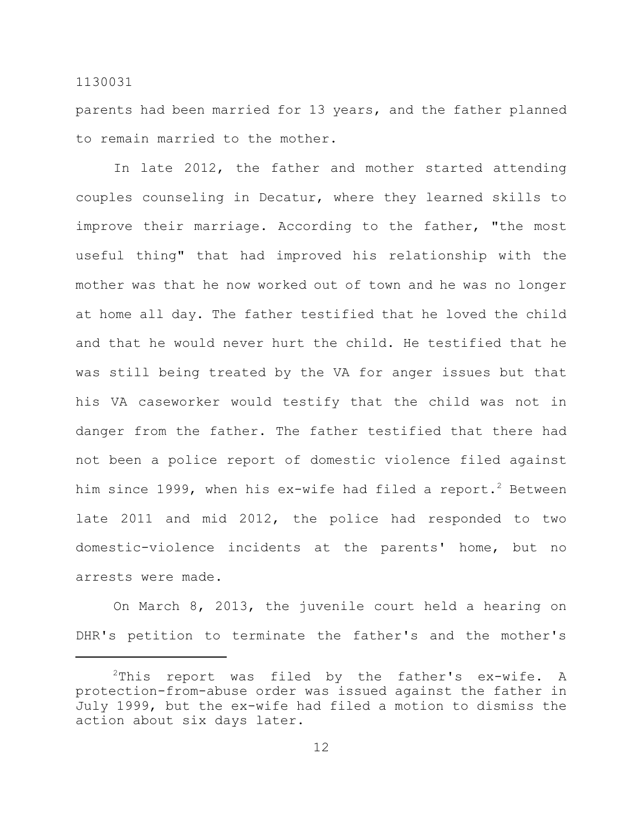parents had been married for 13 years, and the father planned to remain married to the mother.

In late 2012, the father and mother started attending couples counseling in Decatur, where they learned skills to improve their marriage. According to the father, "the most useful thing" that had improved his relationship with the mother was that he now worked out of town and he was no longer at home all day. The father testified that he loved the child and that he would never hurt the child. He testified that he was still being treated by the VA for anger issues but that his VA caseworker would testify that the child was not in danger from the father. The father testified that there had not been a police report of domestic violence filed against him since 1999, when his ex-wife had filed a report.<sup>2</sup> Between late 2011 and mid 2012, the police had responded to two domestic-violence incidents at the parents' home, but no arrests were made.

On March 8, 2013, the juvenile court held a hearing on DHR's petition to terminate the father's and the mother's

 $^{2}$ This report was filed by the father's ex-wife. A protection-from-abuse order was issued against the father in July 1999, but the ex-wife had filed a motion to dismiss the action about six days later.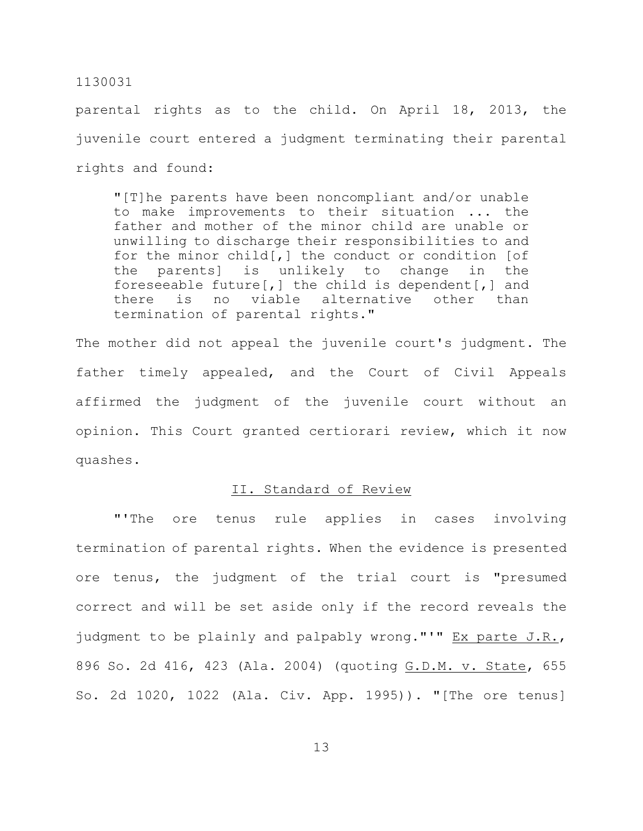parental rights as to the child. On April 18, 2013, the juvenile court entered a judgment terminating their parental rights and found:

"[T]he parents have been noncompliant and/or unable to make improvements to their situation ... the father and mother of the minor child are unable or unwilling to discharge their responsibilities to and for the minor child[,] the conduct or condition [of the parents] is unlikely to change in the foreseeable future[,] the child is dependent[,] and there is no viable alternative other than termination of parental rights."

The mother did not appeal the juvenile court's judgment. The father timely appealed, and the Court of Civil Appeals affirmed the judgment of the juvenile court without an opinion. This Court granted certiorari review, which it now quashes.

#### II. Standard of Review

"'The ore tenus rule applies in cases involving termination of parental rights. When the evidence is presented ore tenus, the judgment of the trial court is "presumed correct and will be set aside only if the record reveals the judgment to be plainly and palpably wrong."'" Ex parte J.R., 896 So. 2d 416, 423 (Ala. 2004) (quoting G.D.M. v. State, 655 So. 2d 1020, 1022 (Ala. Civ. App. 1995)). "[The ore tenus]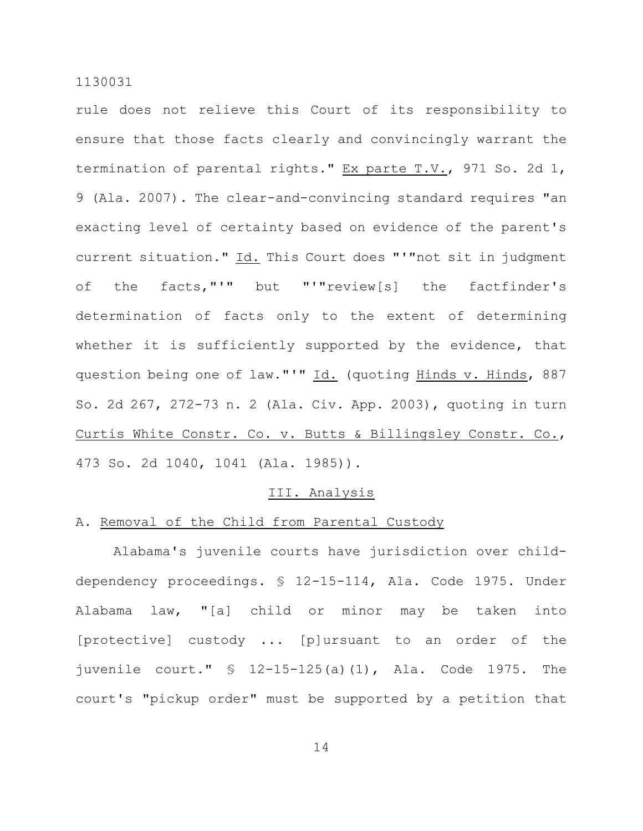rule does not relieve this Court of its responsibility to ensure that those facts clearly and convincingly warrant the termination of parental rights." Ex parte T.V., 971 So. 2d 1, 9 (Ala. 2007). The clear-and-convincing standard requires "an exacting level of certainty based on evidence of the parent's current situation." Id. This Court does "'"not sit in judgment of the facts,"'" but "'"review[s] the factfinder's determination of facts only to the extent of determining whether it is sufficiently supported by the evidence, that question being one of law."'" Id. (quoting Hinds v. Hinds, 887 So. 2d 267, 272-73 n. 2 (Ala. Civ. App. 2003), quoting in turn Curtis White Constr. Co. v. Butts & Billingsley Constr. Co., 473 So. 2d 1040, 1041 (Ala. 1985)).

#### III. Analysis

## A. Removal of the Child from Parental Custody

Alabama's juvenile courts have jurisdiction over childdependency proceedings. § 12-15-114, Ala. Code 1975. Under Alabama law, "[a] child or minor may be taken into [protective] custody ... [p]ursuant to an order of the juvenile court." § 12-15-125(a)(1), Ala. Code 1975. The court's "pickup order" must be supported by a petition that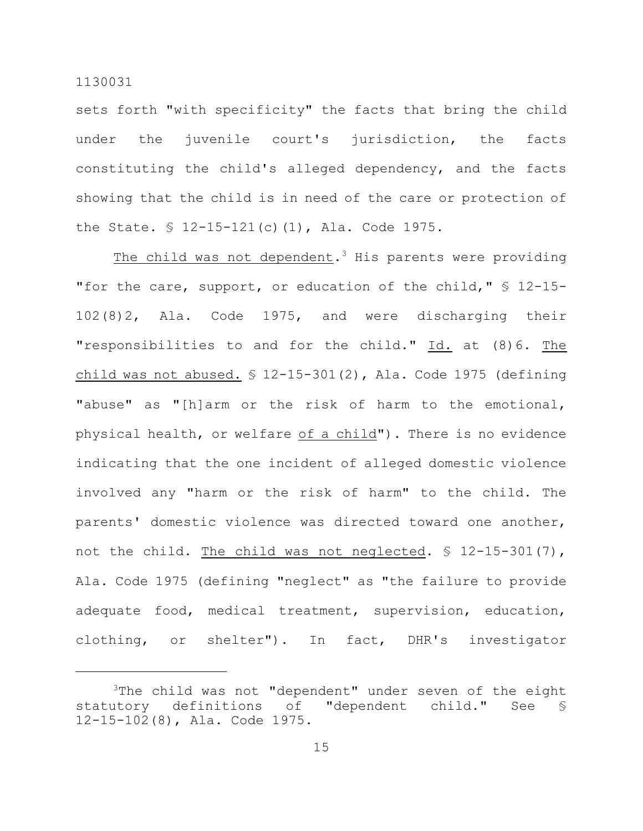sets forth "with specificity" the facts that bring the child under the juvenile court's jurisdiction, the facts constituting the child's alleged dependency, and the facts showing that the child is in need of the care or protection of the State. § 12-15-121(c)(1), Ala. Code 1975.

The child was not dependent.<sup>3</sup> His parents were providing "for the care, support, or education of the child," § 12-15-102(8)2, Ala. Code 1975, and were discharging their "responsibilities to and for the child." Id. at (8)6. The child was not abused.  $$ 12-15-301(2)$ , Ala. Code 1975 (defining "abuse" as "[h]arm or the risk of harm to the emotional, physical health, or welfare of a child"). There is no evidence indicating that the one incident of alleged domestic violence involved any "harm or the risk of harm" to the child. The parents' domestic violence was directed toward one another, not the child. The child was not neglected. § 12-15-301(7), Ala. Code 1975 (defining "neglect" as "the failure to provide adequate food, medical treatment, supervision, education, clothing, or shelter"). In fact, DHR's investigator

 $3$ The child was not "dependent" under seven of the eight statutory definitions of "dependent child." See § 12-15-102(8), Ala. Code 1975.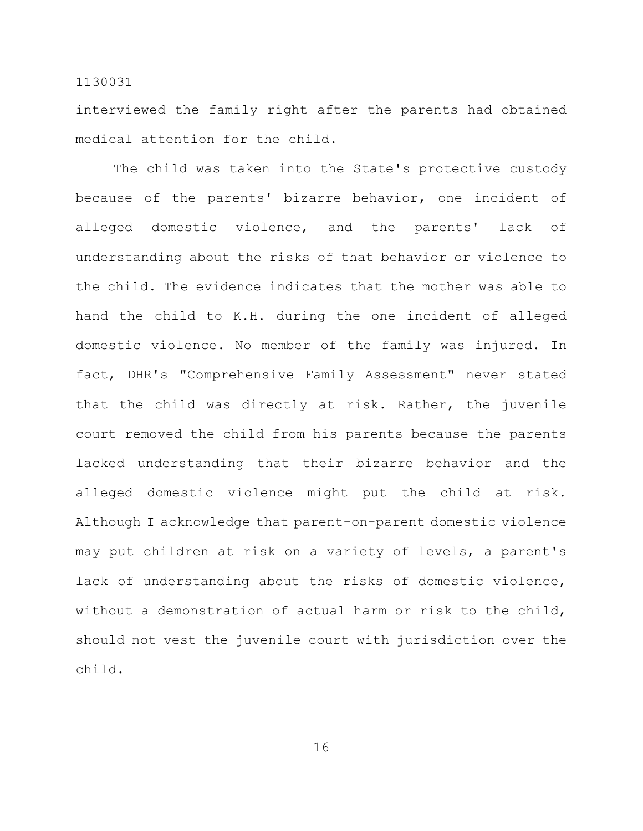interviewed the family right after the parents had obtained medical attention for the child.

The child was taken into the State's protective custody because of the parents' bizarre behavior, one incident of alleged domestic violence, and the parents' lack of understanding about the risks of that behavior or violence to the child. The evidence indicates that the mother was able to hand the child to K.H. during the one incident of alleged domestic violence. No member of the family was injured. In fact, DHR's "Comprehensive Family Assessment" never stated that the child was directly at risk. Rather, the juvenile court removed the child from his parents because the parents lacked understanding that their bizarre behavior and the alleged domestic violence might put the child at risk. Although I acknowledge that parent-on-parent domestic violence may put children at risk on a variety of levels, a parent's lack of understanding about the risks of domestic violence, without a demonstration of actual harm or risk to the child, should not vest the juvenile court with jurisdiction over the child.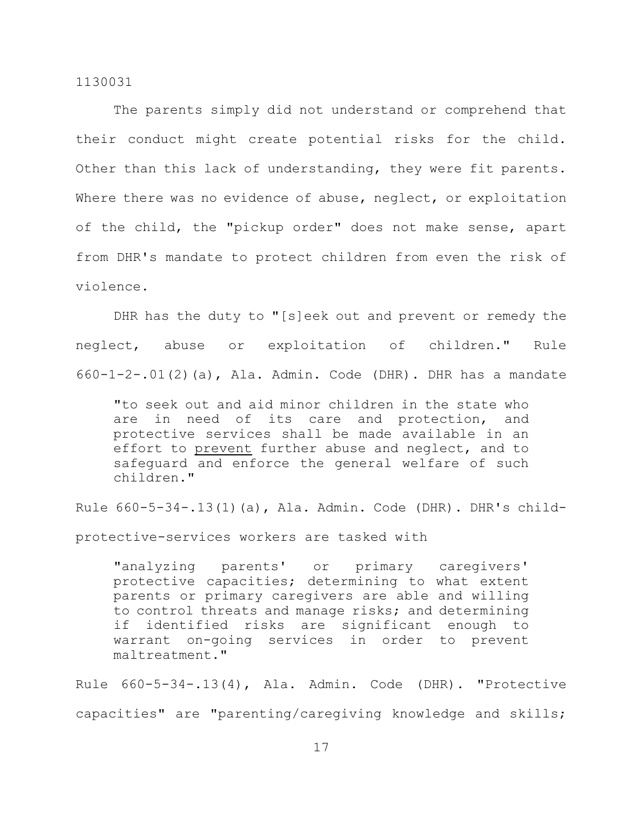The parents simply did not understand or comprehend that their conduct might create potential risks for the child. Other than this lack of understanding, they were fit parents. Where there was no evidence of abuse, neglect, or exploitation of the child, the "pickup order" does not make sense, apart from DHR's mandate to protect children from even the risk of violence.

DHR has the duty to "[s]eek out and prevent or remedy the neglect, abuse or exploitation of children." Rule 660-1-2-.01(2)(a), Ala. Admin. Code (DHR). DHR has a mandate

"to seek out and aid minor children in the state who are in need of its care and protection, and protective services shall be made available in an effort to prevent further abuse and neglect, and to safeguard and enforce the general welfare of such children."

Rule 660-5-34-.13(1)(a), Ala. Admin. Code (DHR). DHR's child-

protective-services workers are tasked with

"analyzing parents' or primary caregivers' protective capacities; determining to what extent parents or primary caregivers are able and willing to control threats and manage risks; and determining if identified risks are significant enough to warrant on-going services in order to prevent maltreatment."

Rule 660-5-34-.13(4), Ala. Admin. Code (DHR). "Protective capacities" are "parenting/caregiving knowledge and skills;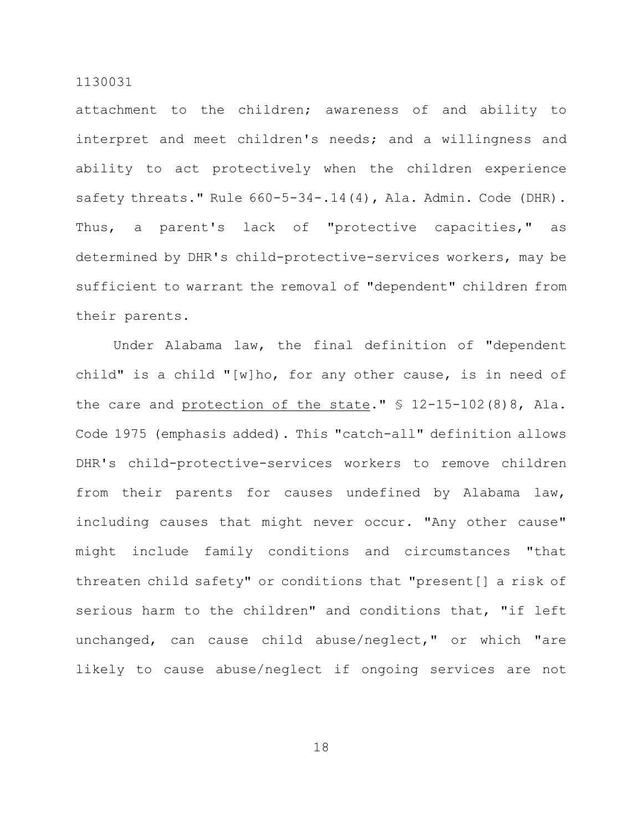attachment to the children; awareness of and ability to interpret and meet children's needs; and a willingness and ability to act protectively when the children experience safety threats." Rule 660-5-34-.14(4), Ala. Admin. Code (DHR). Thus, a parent's lack of "protective capacities," as determined by DHR's child-protective-services workers, may be sufficient to warrant the removal of "dependent" children from their parents.

Under Alabama law, the final definition of "dependent child" is a child "[w]ho, for any other cause, is in need of the care and protection of the state." § 12-15-102(8)8, Ala. Code 1975 (emphasis added). This "catch-all" definition allows DHR's child-protective-services workers to remove children from their parents for causes undefined by Alabama law, including causes that might never occur. "Any other cause" might include family conditions and circumstances "that threaten child safety" or conditions that "present[] a risk of serious harm to the children" and conditions that, "if left unchanged, can cause child abuse/neglect," or which "are likely to cause abuse/neglect if ongoing services are not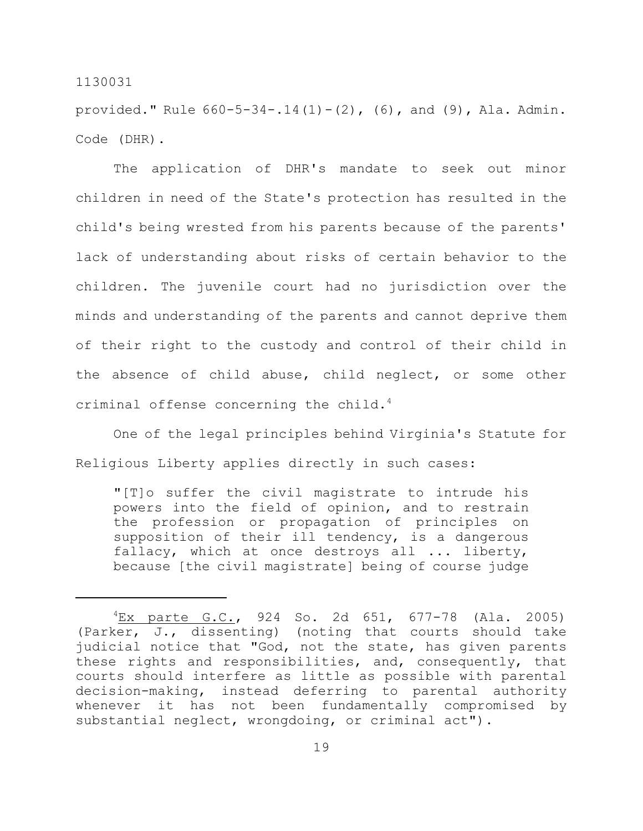provided." Rule  $660-5-34-.14(1)-(2)$ ,  $(6)$ , and  $(9)$ , Ala. Admin. Code (DHR).

The application of DHR's mandate to seek out minor children in need of the State's protection has resulted in the child's being wrested from his parents because of the parents' lack of understanding about risks of certain behavior to the children. The juvenile court had no jurisdiction over the minds and understanding of the parents and cannot deprive them of their right to the custody and control of their child in the absence of child abuse, child neglect, or some other criminal offense concerning the child.<sup>4</sup>

One of the legal principles behind Virginia's Statute for Religious Liberty applies directly in such cases:

"[T]o suffer the civil magistrate to intrude his powers into the field of opinion, and to restrain the profession or propagation of principles on supposition of their ill tendency, is a dangerous fallacy, which at once destroys all ... liberty, because [the civil magistrate] being of course judge

 ${}^{4}$ Ex parte G.C., 924 So. 2d 651, 677-78 (Ala. 2005) (Parker, J., dissenting) (noting that courts should take judicial notice that "God, not the state, has given parents these rights and responsibilities, and, consequently, that courts should interfere as little as possible with parental decision-making, instead deferring to parental authority whenever it has not been fundamentally compromised by substantial neglect, wrongdoing, or criminal act").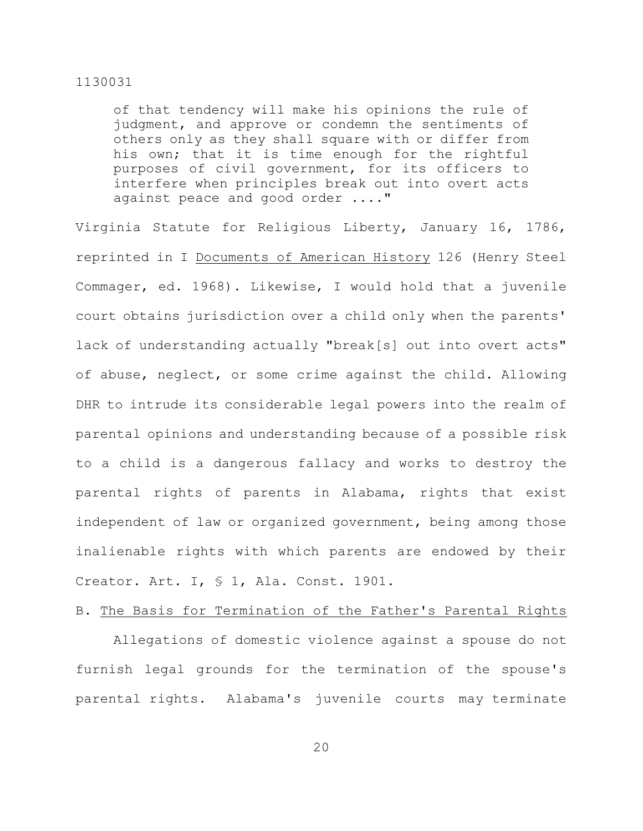of that tendency will make his opinions the rule of judgment, and approve or condemn the sentiments of others only as they shall square with or differ from his own; that it is time enough for the rightful purposes of civil government, for its officers to interfere when principles break out into overt acts against peace and good order ...."

Virginia Statute for Religious Liberty, January 16, 1786, reprinted in I Documents of American History 126 (Henry Steel Commager, ed. 1968). Likewise, I would hold that a juvenile court obtains jurisdiction over a child only when the parents' lack of understanding actually "break[s] out into overt acts" of abuse, neglect, or some crime against the child. Allowing DHR to intrude its considerable legal powers into the realm of parental opinions and understanding because of a possible risk to a child is a dangerous fallacy and works to destroy the parental rights of parents in Alabama, rights that exist independent of law or organized government, being among those inalienable rights with which parents are endowed by their Creator. Art. I, § 1, Ala. Const. 1901.

#### B. The Basis for Termination of the Father's Parental Rights

Allegations of domestic violence against a spouse do not furnish legal grounds for the termination of the spouse's parental rights. Alabama's juvenile courts may terminate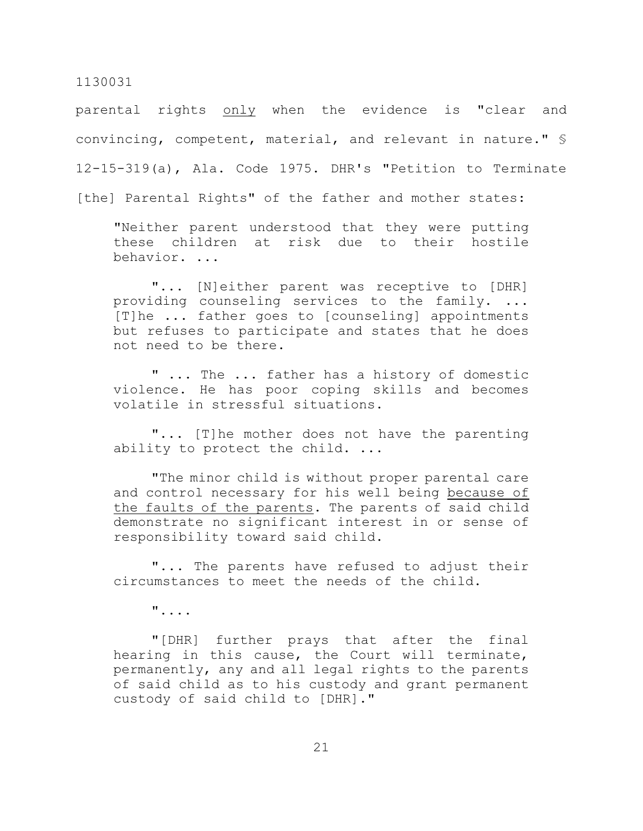parental rights only when the evidence is "clear and convincing, competent, material, and relevant in nature." § 12-15-319(a), Ala. Code 1975. DHR's "Petition to Terminate

[the] Parental Rights" of the father and mother states:

"Neither parent understood that they were putting these children at risk due to their hostile behavior. ...

"... [N]either parent was receptive to [DHR] providing counseling services to the family. ... [T]he ... father goes to [counseling] appointments but refuses to participate and states that he does not need to be there.

" ... The ... father has a history of domestic violence. He has poor coping skills and becomes volatile in stressful situations.

"... [T]he mother does not have the parenting ability to protect the child. ...

"The minor child is without proper parental care and control necessary for his well being because of the faults of the parents. The parents of said child demonstrate no significant interest in or sense of responsibility toward said child.

"... The parents have refused to adjust their circumstances to meet the needs of the child.

"....

"[DHR] further prays that after the final hearing in this cause, the Court will terminate, permanently, any and all legal rights to the parents of said child as to his custody and grant permanent custody of said child to [DHR]."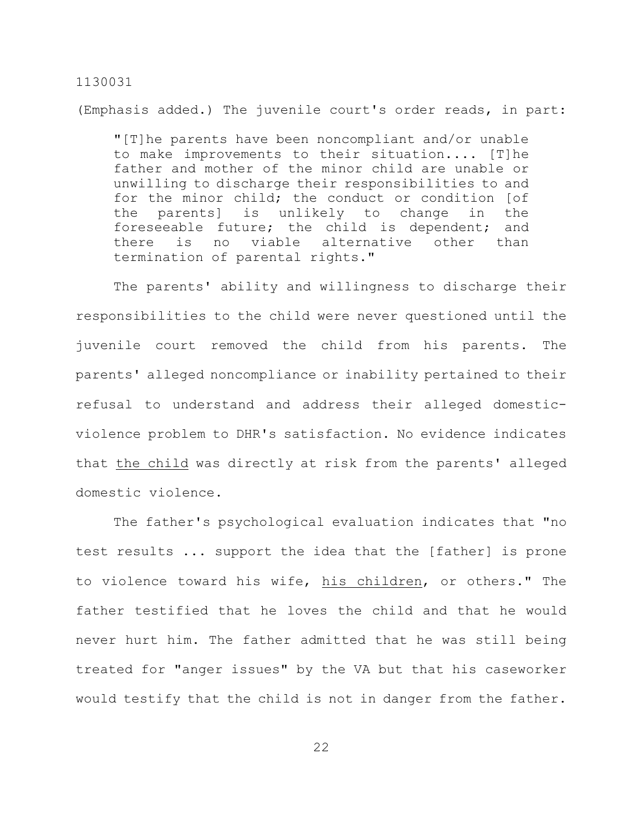(Emphasis added.) The juvenile court's order reads, in part:

"[T]he parents have been noncompliant and/or unable to make improvements to their situation.... [T]he father and mother of the minor child are unable or unwilling to discharge their responsibilities to and for the minor child; the conduct or condition [of the parents] is unlikely to change in the foreseeable future; the child is dependent; and there is no viable alternative other than termination of parental rights."

The parents' ability and willingness to discharge their responsibilities to the child were never questioned until the juvenile court removed the child from his parents. The parents' alleged noncompliance or inability pertained to their refusal to understand and address their alleged domesticviolence problem to DHR's satisfaction. No evidence indicates that the child was directly at risk from the parents' alleged domestic violence.

The father's psychological evaluation indicates that "no test results ... support the idea that the [father] is prone to violence toward his wife, his children, or others." The father testified that he loves the child and that he would never hurt him. The father admitted that he was still being treated for "anger issues" by the VA but that his caseworker would testify that the child is not in danger from the father.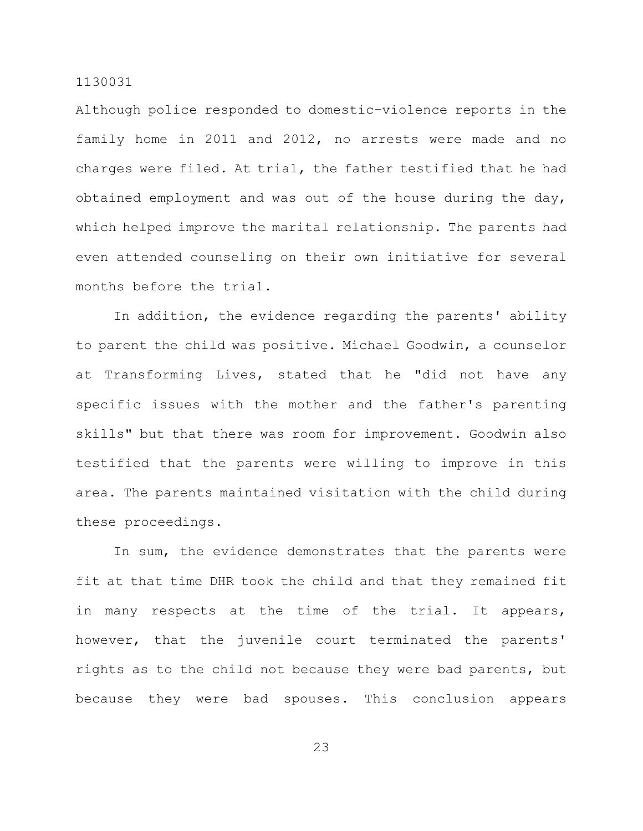Although police responded to domestic-violence reports in the family home in 2011 and 2012, no arrests were made and no charges were filed. At trial, the father testified that he had obtained employment and was out of the house during the day, which helped improve the marital relationship. The parents had even attended counseling on their own initiative for several months before the trial.

In addition, the evidence regarding the parents' ability to parent the child was positive. Michael Goodwin, a counselor at Transforming Lives, stated that he "did not have any specific issues with the mother and the father's parenting skills" but that there was room for improvement. Goodwin also testified that the parents were willing to improve in this area. The parents maintained visitation with the child during these proceedings.

In sum, the evidence demonstrates that the parents were fit at that time DHR took the child and that they remained fit in many respects at the time of the trial. It appears, however, that the juvenile court terminated the parents' rights as to the child not because they were bad parents, but because they were bad spouses. This conclusion appears